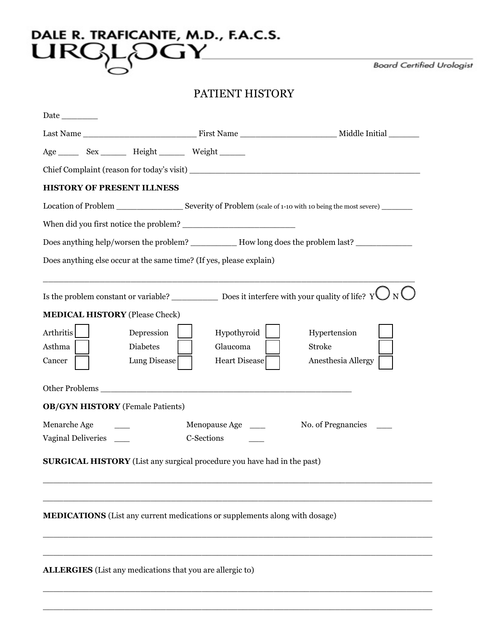## DALE R. TRAFICANTE, M.D., F.A.C.S.<br>LIRGL<sub>Q</sub>OGY

**Board Certified Urologist** 

## PATIENT HISTORY

| <b>Date</b>                                                                                                                                                                                                                    |               |                    |
|--------------------------------------------------------------------------------------------------------------------------------------------------------------------------------------------------------------------------------|---------------|--------------------|
|                                                                                                                                                                                                                                |               |                    |
| Age _________ Sex ____________ Height _____________ Weight _________                                                                                                                                                           |               |                    |
|                                                                                                                                                                                                                                |               |                    |
| <b>HISTORY OF PRESENT ILLNESS</b>                                                                                                                                                                                              |               |                    |
|                                                                                                                                                                                                                                |               |                    |
|                                                                                                                                                                                                                                |               |                    |
| Does anything help/worsen the problem? ____________ How long does the problem last? _______________                                                                                                                            |               |                    |
| Does anything else occur at the same time? (If yes, please explain)                                                                                                                                                            |               |                    |
|                                                                                                                                                                                                                                |               |                    |
| <b>MEDICAL HISTORY</b> (Please Check)                                                                                                                                                                                          |               |                    |
| Arthritis<br>Depression                                                                                                                                                                                                        | Hypothyroid   | Hypertension       |
| Asthma<br>Diabetes                                                                                                                                                                                                             | Glaucoma      | <b>Stroke</b>      |
| Cancer<br>Lung Disease                                                                                                                                                                                                         | Heart Disease | Anesthesia Allergy |
| Other Problems Theory of the Contract of the Contract of the Contract of the Contract of the Contract of the Contract of the Contract of the Contract of the Contract of the Contract of the Contract of the Contract of the C |               |                    |
| <b>OB/GYN HISTORY</b> (Female Patients)                                                                                                                                                                                        |               |                    |
| Menarche Age                                                                                                                                                                                                                   | Menopause Age | No. of Pregnancies |
| Vaginal Deliveries                                                                                                                                                                                                             | C-Sections    |                    |
| <b>SURGICAL HISTORY</b> (List any surgical procedure you have had in the past)                                                                                                                                                 |               |                    |
|                                                                                                                                                                                                                                |               |                    |
| <b>MEDICATIONS</b> (List any current medications or supplements along with dosage)                                                                                                                                             |               |                    |
|                                                                                                                                                                                                                                |               |                    |
| <b>ALLERGIES</b> (List any medications that you are allergic to)                                                                                                                                                               |               |                    |

\_\_\_\_\_\_\_\_\_\_\_\_\_\_\_\_\_\_\_\_\_\_\_\_\_\_\_\_\_\_\_\_\_\_\_\_\_\_\_\_\_\_\_\_\_\_\_\_\_\_\_\_\_\_\_\_\_\_\_\_\_\_\_\_\_\_\_\_\_\_\_\_\_\_\_\_

\_\_\_\_\_\_\_\_\_\_\_\_\_\_\_\_\_\_\_\_\_\_\_\_\_\_\_\_\_\_\_\_\_\_\_\_\_\_\_\_\_\_\_\_\_\_\_\_\_\_\_\_\_\_\_\_\_\_\_\_\_\_\_\_\_\_\_\_\_\_\_\_\_\_\_\_